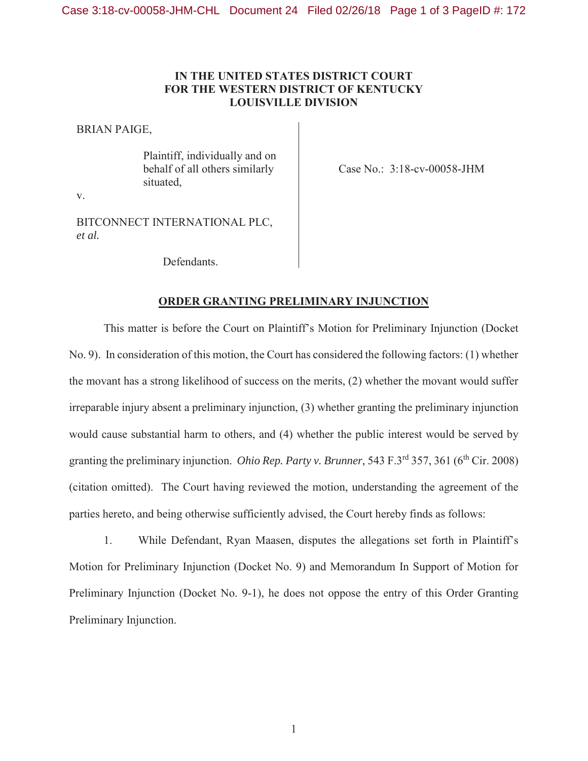## **IN THE UNITED STATES DISTRICT COURT FOR THE WESTERN DISTRICT OF KENTUCKY LOUISVILLE DIVISION**

BRIAN PAIGE,

Plaintiff, individually and on behalf of all others similarly situated,

Case No.: 3:18-cv-00058-JHM

v.

BITCONNECT INTERNATIONAL PLC, *et al.*

Defendants.

## **ORDER GRANTING PRELIMINARY INJUNCTION**

This matter is before the Court on Plaintiff's Motion for Preliminary Injunction (Docket No. 9). In consideration of this motion, the Court has considered the following factors: (1) whether the movant has a strong likelihood of success on the merits, (2) whether the movant would suffer irreparable injury absent a preliminary injunction, (3) whether granting the preliminary injunction would cause substantial harm to others, and (4) whether the public interest would be served by granting the preliminary injunction. *Ohio Rep. Party v. Brunner*, 543 F.3<sup>rd</sup> 357, 361 (6<sup>th</sup> Cir. 2008) (citation omitted). The Court having reviewed the motion, understanding the agreement of the parties hereto, and being otherwise sufficiently advised, the Court hereby finds as follows:

1. While Defendant, Ryan Maasen, disputes the allegations set forth in Plaintiff's Motion for Preliminary Injunction (Docket No. 9) and Memorandum In Support of Motion for Preliminary Injunction (Docket No. 9-1), he does not oppose the entry of this Order Granting Preliminary Injunction.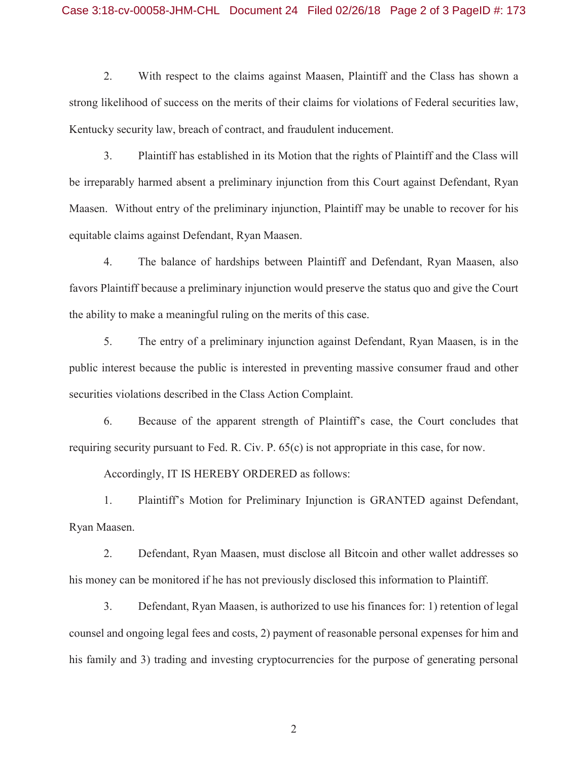## Case 3:18-cv-00058-JHM-CHL Document 24 Filed 02/26/18 Page 2 of 3 PageID #: 173

2. With respect to the claims against Maasen, Plaintiff and the Class has shown a strong likelihood of success on the merits of their claims for violations of Federal securities law, Kentucky security law, breach of contract, and fraudulent inducement.

3. Plaintiff has established in its Motion that the rights of Plaintiff and the Class will be irreparably harmed absent a preliminary injunction from this Court against Defendant, Ryan Maasen. Without entry of the preliminary injunction, Plaintiff may be unable to recover for his equitable claims against Defendant, Ryan Maasen.

4. The balance of hardships between Plaintiff and Defendant, Ryan Maasen, also favors Plaintiff because a preliminary injunction would preserve the status quo and give the Court the ability to make a meaningful ruling on the merits of this case.

5. The entry of a preliminary injunction against Defendant, Ryan Maasen, is in the public interest because the public is interested in preventing massive consumer fraud and other securities violations described in the Class Action Complaint.

6. Because of the apparent strength of Plaintiff's case, the Court concludes that requiring security pursuant to Fed. R. Civ. P. 65(c) is not appropriate in this case, for now.

Accordingly, IT IS HEREBY ORDERED as follows:

1. Plaintiff's Motion for Preliminary Injunction is GRANTED against Defendant, Ryan Maasen.

2. Defendant, Ryan Maasen, must disclose all Bitcoin and other wallet addresses so his money can be monitored if he has not previously disclosed this information to Plaintiff.

3. Defendant, Ryan Maasen, is authorized to use his finances for: 1) retention of legal counsel and ongoing legal fees and costs, 2) payment of reasonable personal expenses for him and his family and 3) trading and investing cryptocurrencies for the purpose of generating personal

2